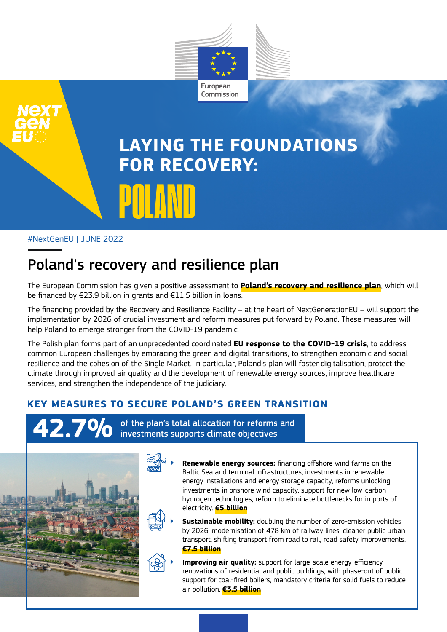

# **LAYING THE FOUNDATIONS FOR RECOVERY:**  POLAND

#### #NextGenEU *|* JUNE 2022

## Poland's recovery and resilience plan

The European Commission has given a positive assessment to **Poland's recovery and resilience plan**, which will be financed by €23.9 billion in grants and €11.5 billion in loans.

The financing provided by the Recovery and Resilience Facility – at the heart of NextGenerationEU – will support the implementation by 2026 of crucial investment and reform measures put forward by Poland. These measures will help Poland to emerge stronger from the COVID-19 pandemic.

The Polish plan forms part of an unprecedented coordinated **EU response to the COVID-19 crisis**, to address common European challenges by embracing the green and digital transitions, to strengthen economic and social resilience and the cohesion of the Single Market. In particular, Poland's plan will foster digitalisation, protect the climate through improved air quality and the development of renewable energy sources, improve healthcare services, and strengthen the independence of the judiciary.

### **KEY MEASURES TO SECURE POLAND'S GREEN TRANSITION**

**42.7%** of the plan's total allocation for reforms and investments supports climate objectives



**Renewable energy sources:** financing offshore wind farms on the Baltic Sea and terminal infrastructures, investments in renewable energy installations and energy storage capacity, reforms unlocking investments in onshore wind capacity, support for new low-carbon hydrogen technologies, reform to eliminate bottlenecks for imports of electricity. **€5 billion**

**Sustainable mobility:** doubling the number of zero-emission vehicles by 2026, modernisation of 478 km of railway lines, cleaner public urban transport, shifting transport from road to rail, road safety improvements. **€7.5 billion**

**Improving air quality:** support for large-scale energy-efficiency renovations of residential and public buildings, with phase-out of public support for coal-fired boilers, mandatory criteria for solid fuels to reduce air pollution. **€3.5 billion**